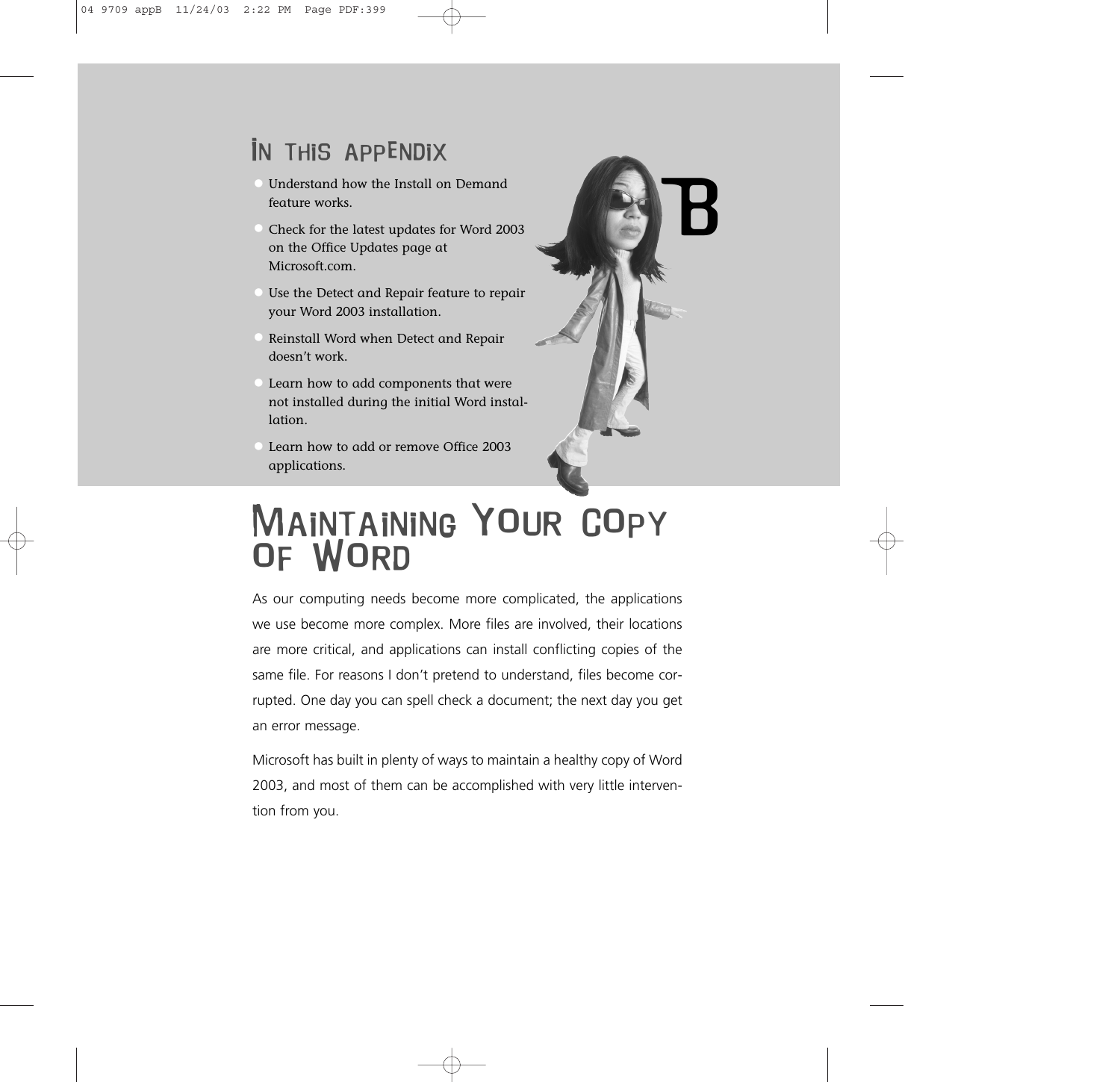## In this appendix

- Understand how the Install on Demand feature works.
- Check for the latest updates for Word 2003 on the Office Updates page at Microsoft.com.
- Use the Detect and Repair feature to repair your Word 2003 installation.
- Reinstall Word when Detect and Repair doesn't work.
- Learn how to add components that were not installed during the initial Word installation.
- Learn how to add or remove Office 2003 applications.



# MAINTAINING YOUR COPY OF WORD

As our computing needs become more complicated, the applications we use become more complex. More files are involved, their locations are more critical, and applications can install conflicting copies of the same file. For reasons I don't pretend to understand, files become corrupted. One day you can spell check a document; the next day you get an error message.

Microsoft has built in plenty of ways to maintain a healthy copy of Word 2003, and most of them can be accomplished with very little intervention from you.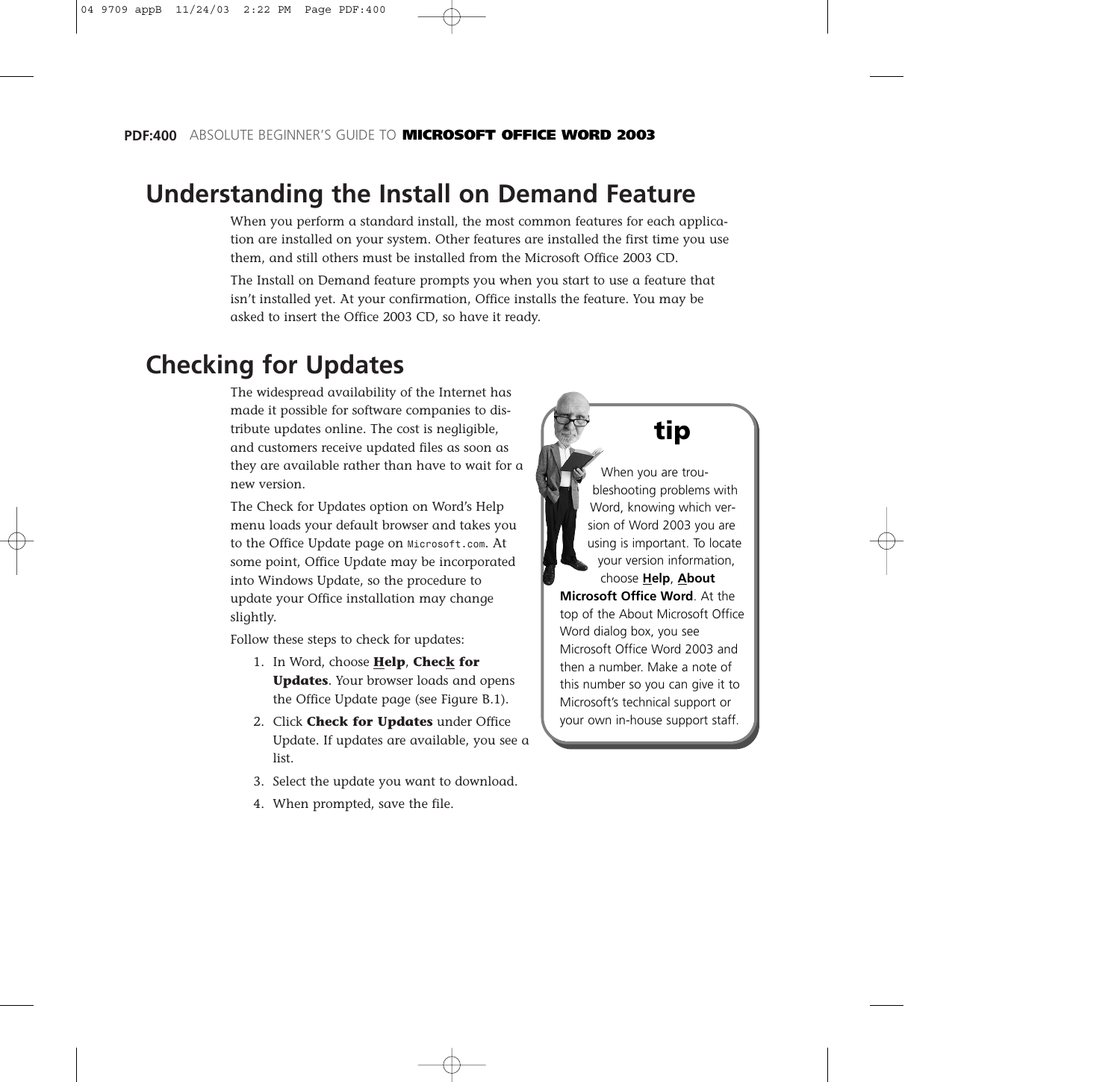### **Understanding the Install on Demand Feature**

When you perform a standard install, the most common features for each application are installed on your system. Other features are installed the first time you use them, and still others must be installed from the Microsoft Office 2003 CD.

The Install on Demand feature prompts you when you start to use a feature that isn't installed yet. At your confirmation, Office installs the feature. You may be asked to insert the Office 2003 CD, so have it ready.

### **Checking for Updates**

The widespread availability of the Internet has made it possible for software companies to distribute updates online. The cost is negligible, and customers receive updated files as soon as they are available rather than have to wait for a new version.

The Check for Updates option on Word's Help menu loads your default browser and takes you to the Office Update page on *Microsoft.com*. At some point, Office Update may be incorporated into Windows Update, so the procedure to update your Office installation may change slightly.

Follow these steps to check for updates:

- 1. In Word, choose **Help**, **Check for Updates**. Your browser loads and opens the Office Update page (see Figure B.1).
- 2. Click **Check for Updates** under Office Update. If updates are available, you see a list.
- 3. Select the update you want to download.
- 4. When prompted, save the file.

### **tip**

When you are troubleshooting problems with Word, knowing which version of Word 2003 you are using is important. To locate your version information, choose **Help**, **About Microsoft Office Word**. At the top of the About Microsoft Office Word dialog box, you see Microsoft Office Word 2003 and then a number. Make a note of this number so you can give it to Microsoft's technical support or your own in-house support staff.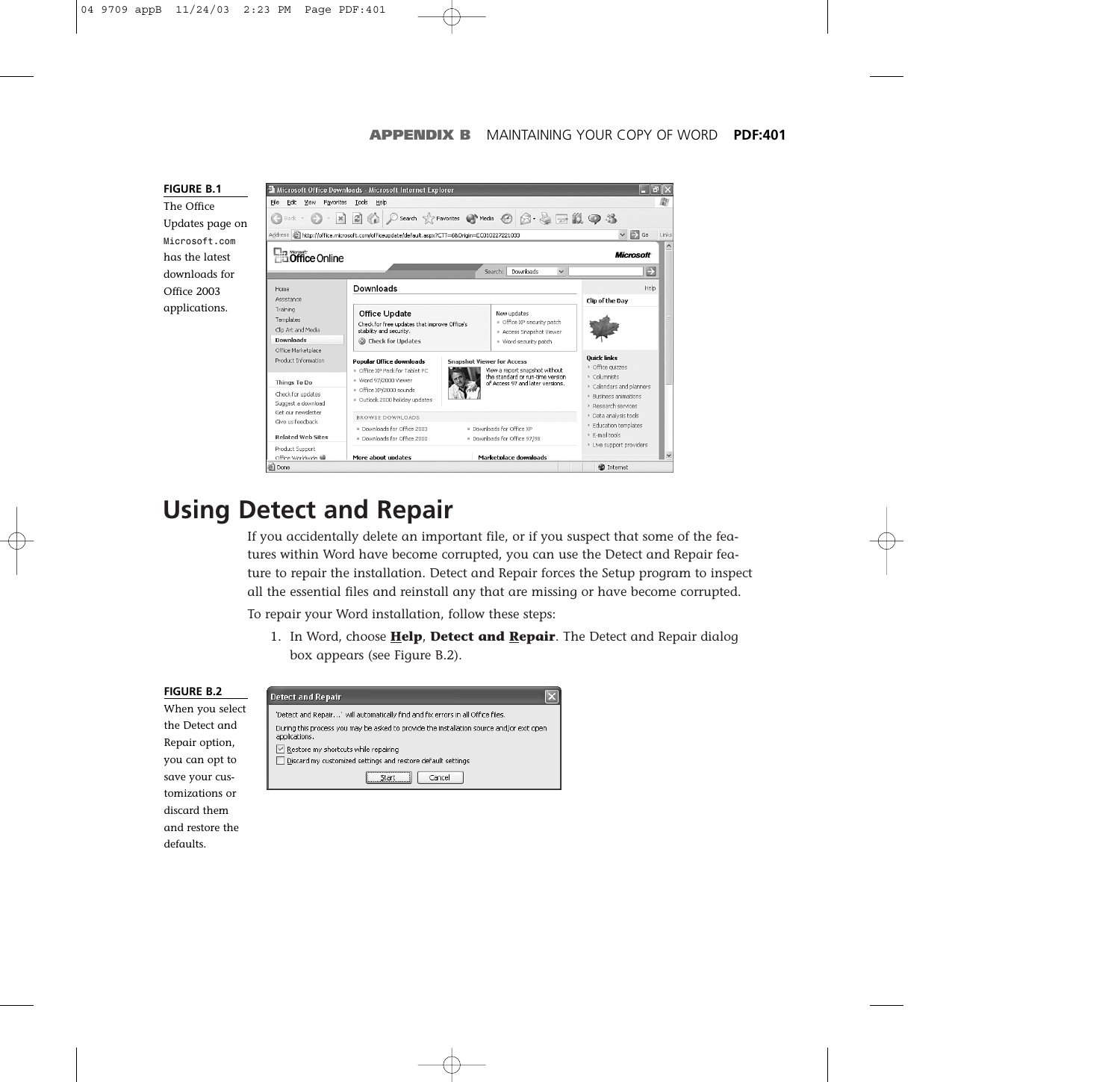

defaults.



### **Using Detect and Repair**

If you accidentally delete an important file, or if you suspect that some of the features within Word have become corrupted, you can use the Detect and Repair feature to repair the installation. Detect and Repair forces the Setup program to inspect all the essential files and reinstall any that are missing or have become corrupted.

To repair your Word installation, follow these steps:

1. In Word, choose **Help**, **Detect and Repair**. The Detect and Repair dialog box appears (see Figure B.2).

#### **FIGURE B.2 Detect and Repair** When you select 'Detect and Repair...' will automatically find and fix errors in all Office files. the Detect and During this process you may be asked to provide the installation source and/or exit open applications. Repair option,  $\boxed{\vee}$  Restore my shortcuts while repairing you can opt to Discard my customized settings and restore default settings save your cus- $Start$ Cancel tomizations or discard them and restore the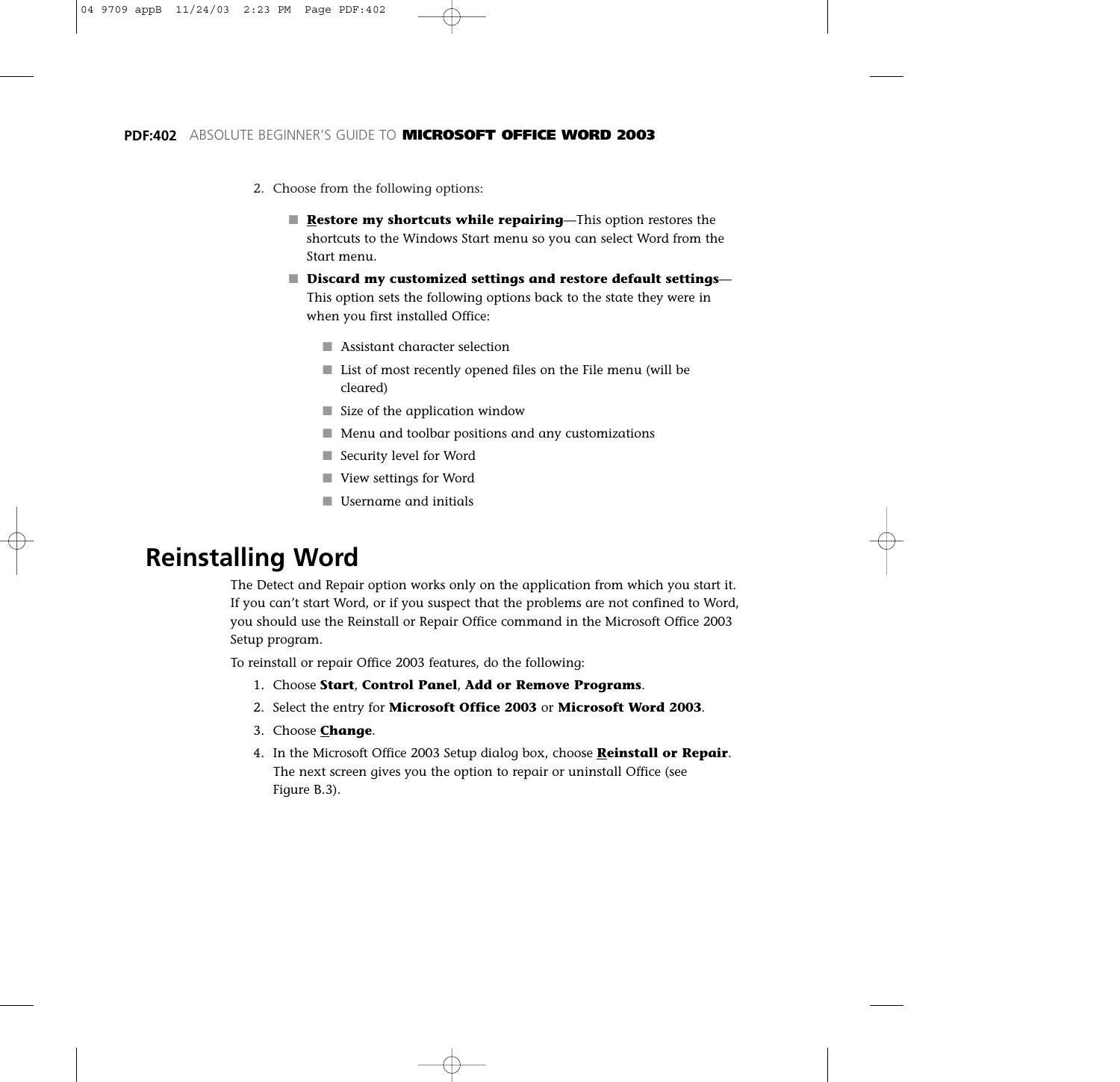- 2. Choose from the following options:
	- **Restore my shortcuts while repairing**—This option restores the shortcuts to the Windows Start menu so you can select Word from the Start menu.
	- **Discard my customized settings and restore default settings** This option sets the following options back to the state they were in when you first installed Office:
		- Assistant character selection
		- List of most recently opened files on the File menu (will be cleared)
		- Size of the application window
		- Menu and toolbar positions and any customizations
		- Security level for Word
		- View settings for Word
		- Username and initials

### **Reinstalling Word**

The Detect and Repair option works only on the application from which you start it. If you can't start Word, or if you suspect that the problems are not confined to Word, you should use the Reinstall or Repair Office command in the Microsoft Office 2003 Setup program.

To reinstall or repair Office 2003 features, do the following:

- 1. Choose **Start**, **Control Panel**, **Add or Remove Programs**.
- 2. Select the entry for **Microsoft Office 2003** or **Microsoft Word 2003**.
- 3. Choose **Change**.
- 4. In the Microsoft Office 2003 Setup dialog box, choose **Reinstall or Repair**. The next screen gives you the option to repair or uninstall Office (see Figure B.3).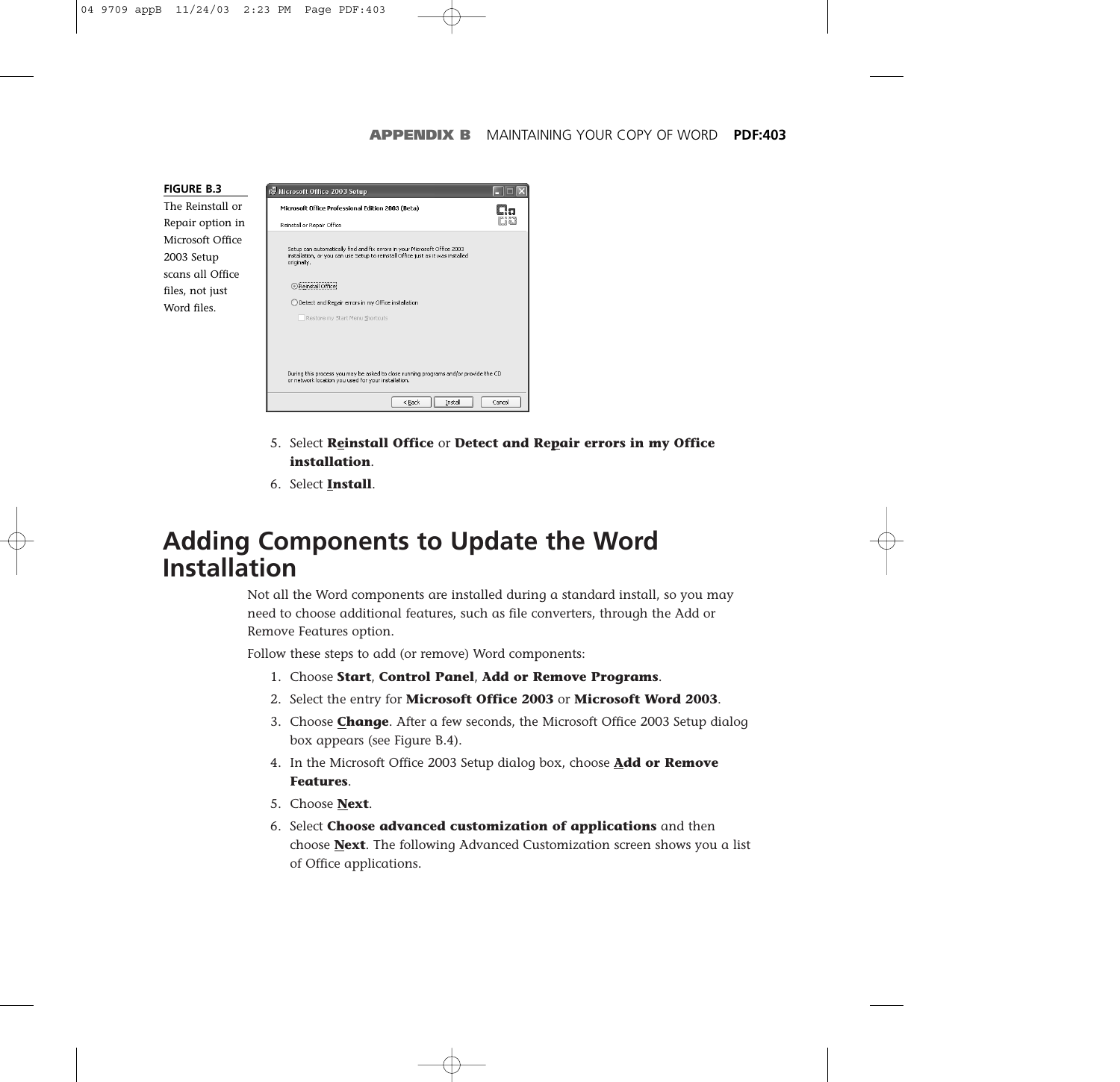**FIGURE B.3** The Reinstall or Repair option in Microsoft Office 2003 Setup scans all Office files, not just Word files.



- 5. Select **Reinstall Office** or **Detect and Repair errors in my Office installation**.
- 6. Select **Install**.

### **Adding Components to Update the Word Installation**

Not all the Word components are installed during a standard install, so you may need to choose additional features, such as file converters, through the Add or Remove Features option.

Follow these steps to add (or remove) Word components:

- 1. Choose **Start**, **Control Panel**, **Add or Remove Programs**.
- 2. Select the entry for **Microsoft Office 2003** or **Microsoft Word 2003**.
- 3. Choose **Change**. After a few seconds, the Microsoft Office 2003 Setup dialog box appears (see Figure B.4).
- 4. In the Microsoft Office 2003 Setup dialog box, choose **Add or Remove Features**.
- 5. Choose **Next**.
- 6. Select **Choose advanced customization of applications** and then choose **Next**. The following Advanced Customization screen shows you a list of Office applications.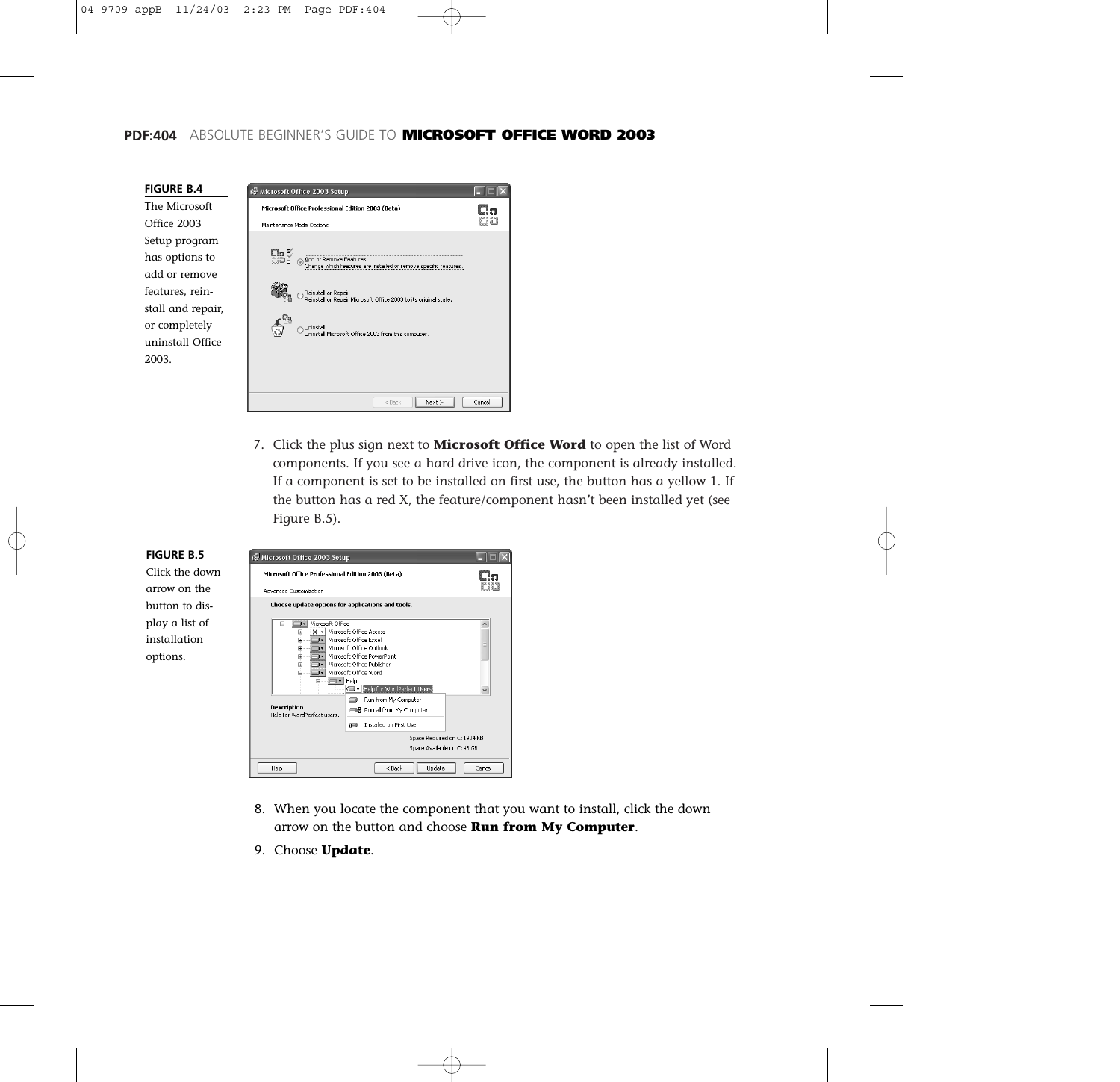### **PDF:404** ABSOLUTE BEGINNER'S GUIDE TO **MICROSOFT OFFICE WORD 2003**



|                          | is Microsoft Office 2003 Setup<br>Microsoft Office Professional Edition 2003 (Beta)                   |  |
|--------------------------|-------------------------------------------------------------------------------------------------------|--|
| Maintenance Mode Options |                                                                                                       |  |
| dag                      | Add or Remove Features<br>G.<br>.<br>Change which features are installed or remove specific features. |  |
|                          | Reinstall or Repair<br>Reinstall or Repair Microsoft Office 2003 to its original state.               |  |
|                          | Uninstall<br>Uninstall Microsoft Office 2003 from this computer.                                      |  |
|                          |                                                                                                       |  |
|                          |                                                                                                       |  |

7. Click the plus sign next to **Microsoft Office Word** to open the list of Word components. If you see a hard drive icon, the component is already installed. If a component is set to be installed on first use, the button has a yellow 1. If the button has a red X, the feature/component hasn't been installed yet (see Figure B.5).

| <b>FIGURE B.5</b>                          | Microsoft Office 2003 Setup                                                                                                                                                                                                              |                                                                                                                                                                                                                  |        |
|--------------------------------------------|------------------------------------------------------------------------------------------------------------------------------------------------------------------------------------------------------------------------------------------|------------------------------------------------------------------------------------------------------------------------------------------------------------------------------------------------------------------|--------|
| Click the down<br>arrow on the             | Microsoft Office Professional Edition 2003 (Beta)<br><b>Advanced Customization</b>                                                                                                                                                       |                                                                                                                                                                                                                  |        |
| button to dis-                             | Choose update options for applications and tools.                                                                                                                                                                                        |                                                                                                                                                                                                                  |        |
| play a list of<br>installation<br>options. | Microsoft Office<br>Microsoft Office Access<br>Microsoft Office Excel<br>Microsoft Office Outlook<br>Microsoft Office Publisher<br>Microsoft Office Word<br>⊒l Help<br>െ-<br>⊟<br><b>Description</b><br>Help for WordPerfect users.<br>但 | Microsoft Office PowerPoint<br>Help for WordPerfect Users<br>Run from My Computer<br><b>B</b> Run all from My Computer<br>Installed on First Lise<br>Space Required on C: 1904 KB<br>Space Available on C: 48 GB |        |
|                                            | Help                                                                                                                                                                                                                                     | Update<br>$<$ Back                                                                                                                                                                                               | Cancel |

- 8. When you locate the component that you want to install, click the down arrow on the button and choose **Run from My Computer**.
- 9. Choose **Update**.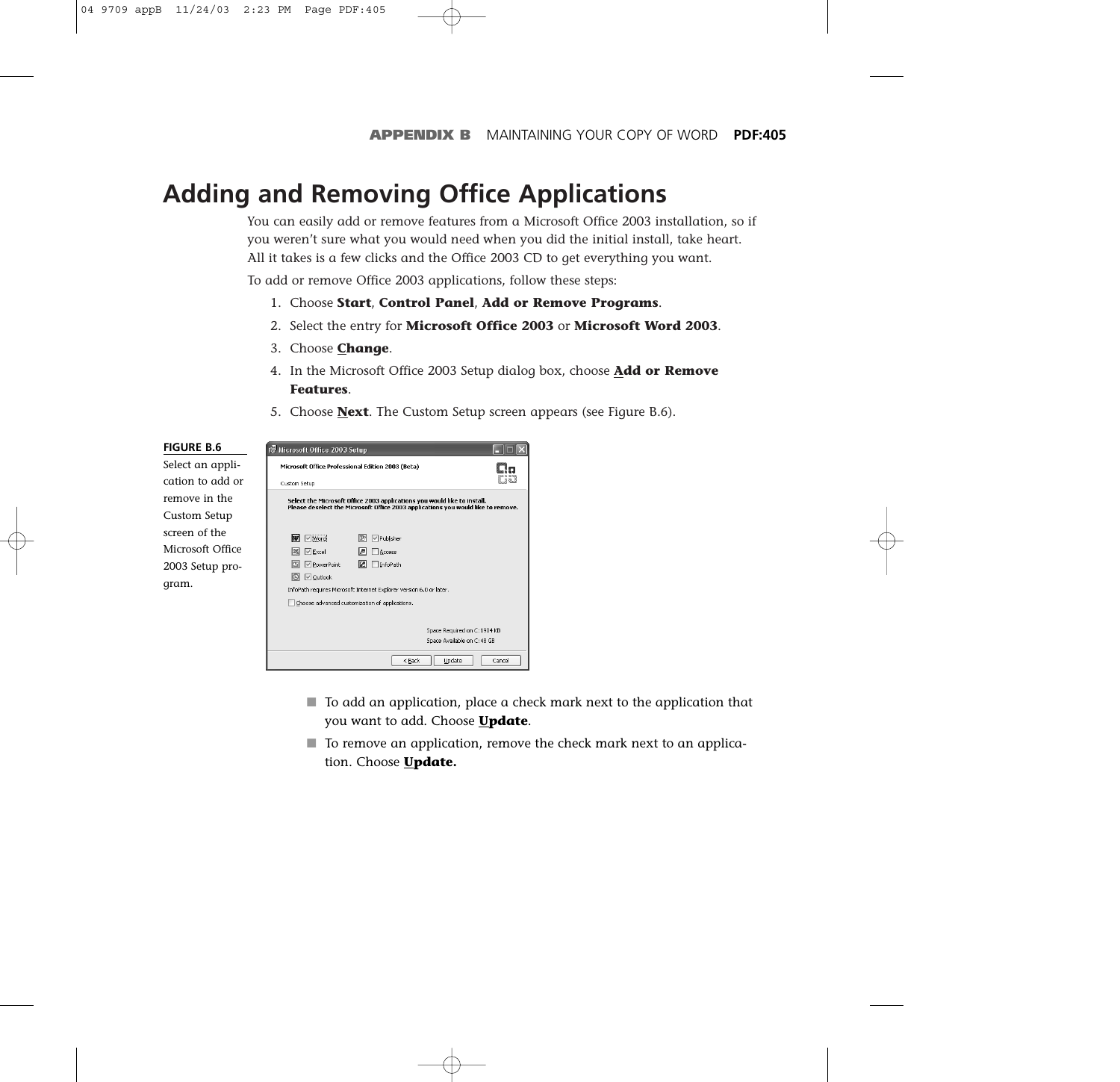### **Adding and Removing Office Applications**

You can easily add or remove features from a Microsoft Office 2003 installation, so if you weren't sure what you would need when you did the initial install, take heart. All it takes is a few clicks and the Office 2003 CD to get everything you want.

To add or remove Office 2003 applications, follow these steps:

- 1. Choose **Start**, **Control Panel**, **Add or Remove Programs**.
- 2. Select the entry for **Microsoft Office 2003** or **Microsoft Word 2003**.
- 3. Choose **Change**.
- 4. In the Microsoft Office 2003 Setup dialog box, choose **Add or Remove Features**.
- 5. Choose **Next**. The Custom Setup screen appears (see Figure B.6).



- To add an application, place a check mark next to the application that you want to add. Choose **Update**.
- To remove an application, remove the check mark next to an application. Choose **Update.**